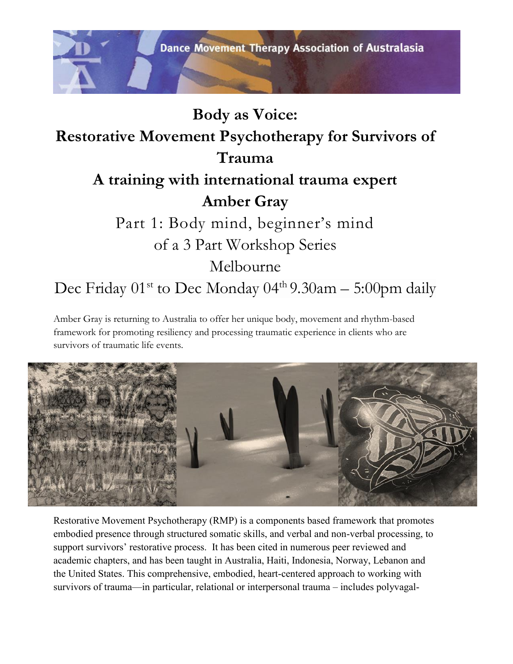

Amber Gray is returning to Australia to offer her unique body, movement and rhythm-based framework for promoting resiliency and processing traumatic experience in clients who are survivors of traumatic life events.



Restorative Movement Psychotherapy (RMP) is a components based framework that promotes embodied presence through structured somatic skills, and verbal and non-verbal processing, to support survivors' restorative process. It has been cited in numerous peer reviewed and academic chapters, and has been taught in Australia, Haiti, Indonesia, Norway, Lebanon and the United States. This comprehensive, embodied, heart-centered approach to working with survivors of trauma—in particular, relational or interpersonal trauma – includes polyvagal-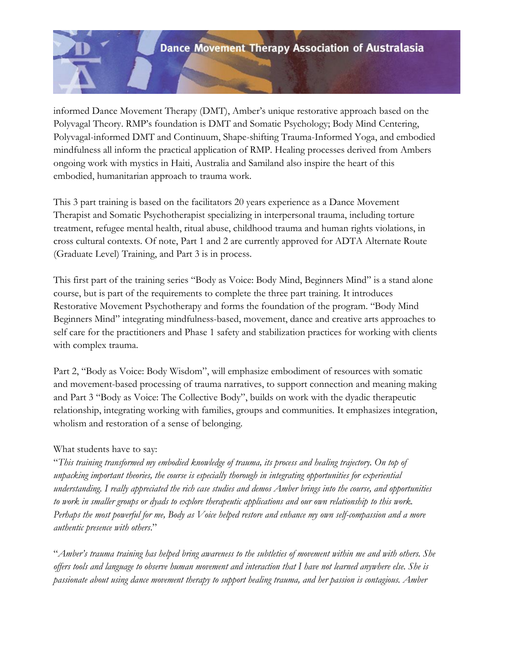

informed Dance Movement Therapy (DMT), Amber's unique restorative approach based on the Polyvagal Theory. RMP's foundation is DMT and Somatic Psychology; Body Mind Centering, Polyvagal-informed DMT and Continuum, Shape-shifting Trauma-Informed Yoga, and embodied mindfulness all inform the practical application of RMP. Healing processes derived from Ambers ongoing work with mystics in Haiti, Australia and Samiland also inspire the heart of this embodied, humanitarian approach to trauma work.

This 3 part training is based on the facilitators 20 years experience as a Dance Movement Therapist and Somatic Psychotherapist specializing in interpersonal trauma, including torture treatment, refugee mental health, ritual abuse, childhood trauma and human rights violations, in cross cultural contexts. Of note, Part 1 and 2 are currently approved for ADTA Alternate Route (Graduate Level) Training, and Part 3 is in process.

This first part of the training series "Body as Voice: Body Mind, Beginners Mind" is a stand alone course, but is part of the requirements to complete the three part training. It introduces Restorative Movement Psychotherapy and forms the foundation of the program. "Body Mind Beginners Mind" integrating mindfulness-based, movement, dance and creative arts approaches to self care for the practitioners and Phase 1 safety and stabilization practices for working with clients with complex trauma.

Part 2, "Body as Voice: Body Wisdom", will emphasize embodiment of resources with somatic and movement-based processing of trauma narratives, to support connection and meaning making and Part 3 "Body as Voice: The Collective Body", builds on work with the dyadic therapeutic relationship, integrating working with families, groups and communities. It emphasizes integration, wholism and restoration of a sense of belonging.

## What students have to say:

"*This training transformed my embodied knowledge of trauma, its process and healing trajectory. On top of unpacking important theories, the course is especially thorough in integrating opportunities for experiential understanding. I really appreciated the rich case studies and demos Amber brings into the course, and opportunities to work in smaller groups or dyads to explore therapeutic applications and our own relationship to this work. Perhaps the most powerful for me, Body as Voice helped restore and enhance my own self-compassion and a more authentic presence with others*."

"*Amber's trauma training has helped bring awareness to the subtleties of movement within me and with others. She offers tools and language to observe human movement and interaction that I have not learned anywhere else. She is passionate about using dance movement therapy to support healing trauma, and her passion is contagious. Amber*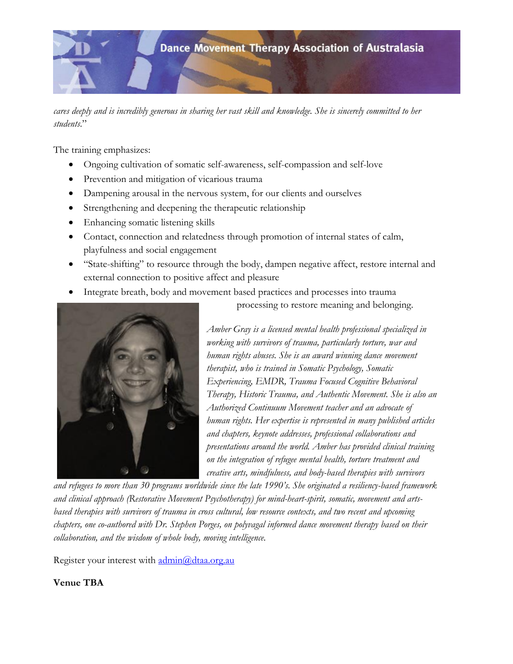

*cares deeply and is incredibly generous in sharing her vast skill and knowledge. She is sincerely committed to her students*."

The training emphasizes:

- Ongoing cultivation of somatic self-awareness, self-compassion and self-love
- Prevention and mitigation of vicarious trauma
- Dampening arousal in the nervous system, for our clients and ourselves
- Strengthening and deepening the therapeutic relationship
- Enhancing somatic listening skills
- Contact, connection and relatedness through promotion of internal states of calm, playfulness and social engagement
- "State-shifting" to resource through the body, dampen negative affect, restore internal and external connection to positive affect and pleasure
- Integrate breath, body and movement based practices and processes into trauma



processing to restore meaning and belonging.

*Amber Gray is a licensed mental health professional specialized in working with survivors of trauma, particularly torture, war and human rights abuses. She is an award winning dance movement therapist, who is trained in Somatic Psychology, Somatic Experiencing, EMDR, Trauma Focused Cognitive Behavioral Therapy, Historic Trauma, and Authentic Movement. She is also an Authorized Continuum Movement teacher and an advocate of human rights. Her expertise is represented in many published articles and chapters, keynote addresses, professional collaborations and presentations around the world. Amber has provided clinical training on the integration of refugee mental health, torture treatment and creative arts, mindfulness, and body-based therapies with survivors* 

*and refugees to more than 30 programs worldwide since the late 1990's. She originated a resiliency-based framework and clinical approach (Restorative Movement Psychotherapy) for mind-heart-spirit, somatic, movement and artsbased therapies with survivors of trauma in cross cultural, low resource contexts, and two recent and upcoming chapters, one co-authored with Dr. Stephen Porges, on polyvagal informed dance movement therapy based on their collaboration, and the wisdom of whole body, moving intelligence.* 

Register your interest with [admin@dtaa.org.au](mailto:admin@dtaa.org.au)

## **Venue TBA**